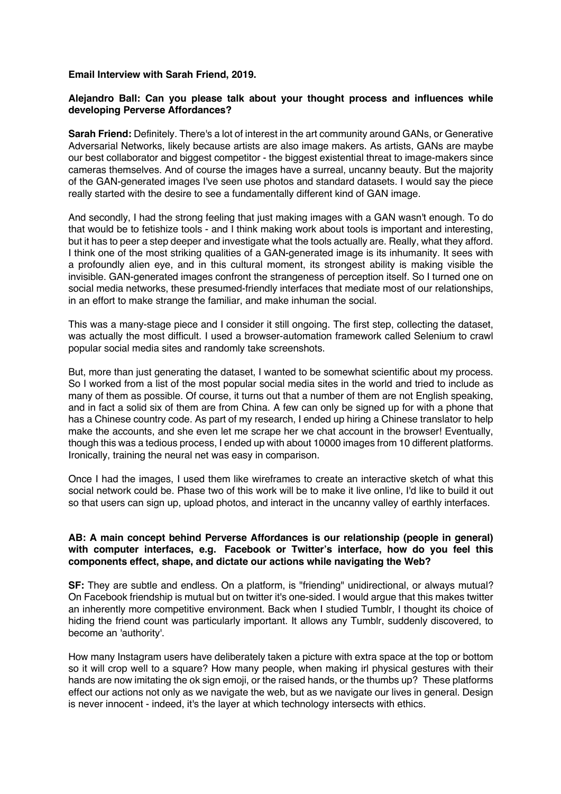## **Email Interview with Sarah Friend, 2019.**

## **Alejandro Ball: Can you please talk about your thought process and influences while developing Perverse Affordances?**

**Sarah Friend:** Definitely. There's a lot of interest in the art community around GANs, or Generative Adversarial Networks, likely because artists are also image makers. As artists, GANs are maybe our best collaborator and biggest competitor - the biggest existential threat to image-makers since cameras themselves. And of course the images have a surreal, uncanny beauty. But the majority of the GAN-generated images I've seen use photos and standard datasets. I would say the piece really started with the desire to see a fundamentally different kind of GAN image.

And secondly, I had the strong feeling that just making images with a GAN wasn't enough. To do that would be to fetishize tools - and I think making work about tools is important and interesting, but it has to peer a step deeper and investigate what the tools actually are. Really, what they afford. I think one of the most striking qualities of a GAN-generated image is its inhumanity. It sees with a profoundly alien eye, and in this cultural moment, its strongest ability is making visible the invisible. GAN-generated images confront the strangeness of perception itself. So I turned one on social media networks, these presumed-friendly interfaces that mediate most of our relationships, in an effort to make strange the familiar, and make inhuman the social.

This was a many-stage piece and I consider it still ongoing. The first step, collecting the dataset, was actually the most difficult. I used a browser-automation framework called Selenium to crawl popular social media sites and randomly take screenshots.

But, more than just generating the dataset, I wanted to be somewhat scientific about my process. So I worked from a list of the most popular social media sites in the world and tried to include as many of them as possible. Of course, it turns out that a number of them are not English speaking, and in fact a solid six of them are from China. A few can only be signed up for with a phone that has a Chinese country code. As part of my research, I ended up hiring a Chinese translator to help make the accounts, and she even let me scrape her we chat account in the browser! Eventually, though this was a tedious process, I ended up with about 10000 images from 10 different platforms. Ironically, training the neural net was easy in comparison.

Once I had the images, I used them like wireframes to create an interactive sketch of what this social network could be. Phase two of this work will be to make it live online, I'd like to build it out so that users can sign up, upload photos, and interact in the uncanny valley of earthly interfaces.

## **AB: A main concept behind Perverse Affordances is our relationship (people in general) with computer interfaces, e.g. Facebook or Twitter's interface, how do you feel this components effect, shape, and dictate our actions while navigating the Web?**

**SF:** They are subtle and endless. On a platform, is "friending" unidirectional, or always mutual? On Facebook friendship is mutual but on twitter it's one-sided. I would argue that this makes twitter an inherently more competitive environment. Back when I studied Tumblr, I thought its choice of hiding the friend count was particularly important. It allows any Tumblr, suddenly discovered, to become an 'authority'.

How many Instagram users have deliberately taken a picture with extra space at the top or bottom so it will crop well to a square? How many people, when making irl physical gestures with their hands are now imitating the ok sign emoji, or the raised hands, or the thumbs up? These platforms effect our actions not only as we navigate the web, but as we navigate our lives in general. Design is never innocent - indeed, it's the layer at which technology intersects with ethics.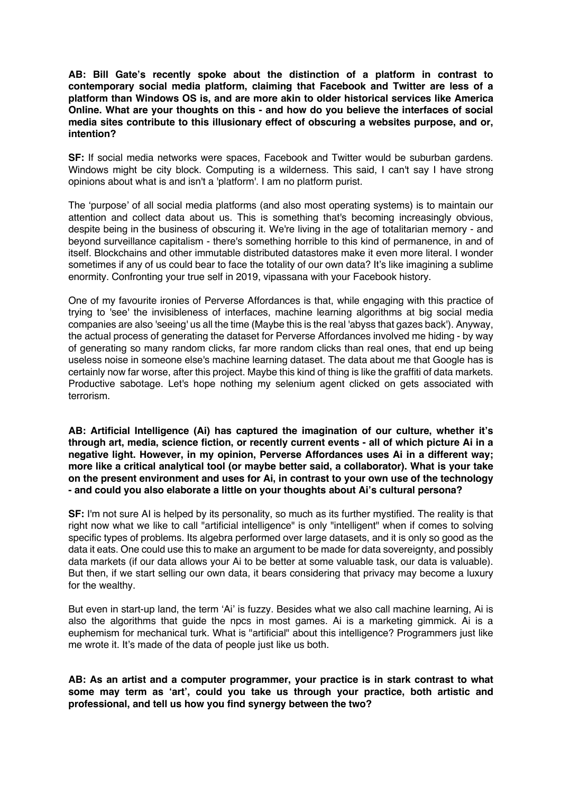**AB: Bill Gate's recently spoke about the distinction of a platform in contrast to contemporary social media platform, claiming that Facebook and Twitter are less of a platform than Windows OS is, and are more akin to older historical services like America Online. What are your thoughts on this - and how do you believe the interfaces of social media sites contribute to this illusionary effect of obscuring a websites purpose, and or, intention?**

**SF:** If social media networks were spaces, Facebook and Twitter would be suburban gardens. Windows might be city block. Computing is a wilderness. This said, I can't say I have strong opinions about what is and isn't a 'platform'. I am no platform purist.

The 'purpose' of all social media platforms (and also most operating systems) is to maintain our attention and collect data about us. This is something that's becoming increasingly obvious, despite being in the business of obscuring it. We're living in the age of totalitarian memory - and beyond surveillance capitalism - there's something horrible to this kind of permanence, in and of itself. Blockchains and other immutable distributed datastores make it even more literal. I wonder sometimes if any of us could bear to face the totality of our own data? It's like imagining a sublime enormity. Confronting your true self in 2019, vipassana with your Facebook history.

One of my favourite ironies of Perverse Affordances is that, while engaging with this practice of trying to 'see' the invisibleness of interfaces, machine learning algorithms at big social media companies are also 'seeing' us all the time (Maybe this is the real 'abyss that gazes back'). Anyway, the actual process of generating the dataset for Perverse Affordances involved me hiding - by way of generating so many random clicks, far more random clicks than real ones, that end up being useless noise in someone else's machine learning dataset. The data about me that Google has is certainly now far worse, after this project. Maybe this kind of thing is like the graffiti of data markets. Productive sabotage. Let's hope nothing my selenium agent clicked on gets associated with terrorism.

**AB: Artificial Intelligence (Ai) has captured the imagination of our culture, whether it's through art, media, science fiction, or recently current events - all of which picture Ai in a negative light. However, in my opinion, Perverse Affordances uses Ai in a different way; more like a critical analytical tool (or maybe better said, a collaborator). What is your take on the present environment and uses for Ai, in contrast to your own use of the technology - and could you also elaborate a little on your thoughts about Ai's cultural persona?**

**SF:** I'm not sure AI is helped by its personality, so much as its further mystified. The reality is that right now what we like to call "artificial intelligence" is only "intelligent" when if comes to solving specific types of problems. Its algebra performed over large datasets, and it is only so good as the data it eats. One could use this to make an argument to be made for data sovereignty, and possibly data markets (if our data allows your Ai to be better at some valuable task, our data is valuable). But then, if we start selling our own data, it bears considering that privacy may become a luxury for the wealthy.

But even in start-up land, the term 'Ai' is fuzzy. Besides what we also call machine learning, Ai is also the algorithms that guide the npcs in most games. Ai is a marketing gimmick. Ai is a euphemism for mechanical turk. What is "artificial" about this intelligence? Programmers just like me wrote it. It's made of the data of people just like us both.

**AB: As an artist and a computer programmer, your practice is in stark contrast to what some may term as 'art', could you take us through your practice, both artistic and professional, and tell us how you find synergy between the two?**